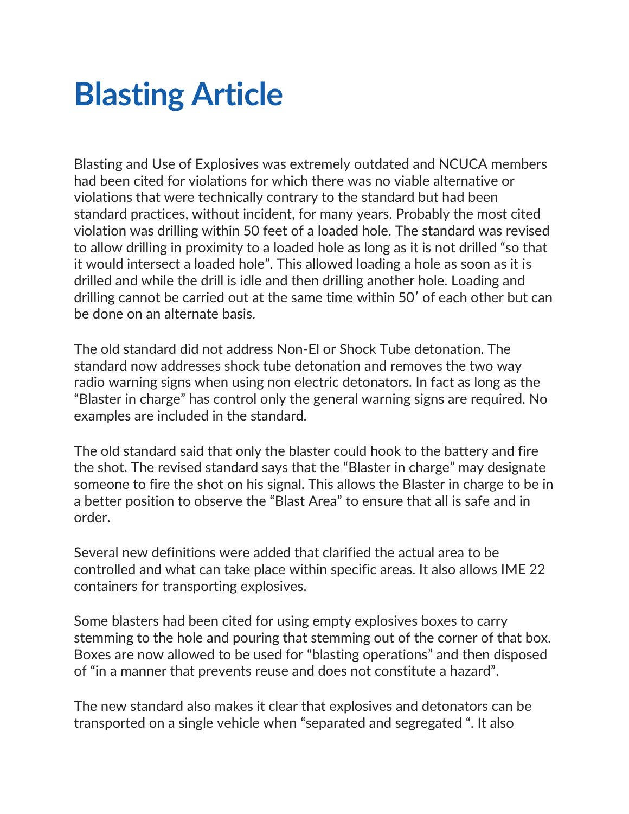## **Blasting Article**

Blasting and Use of Explosives was extremely outdated and NCUCA members had been cited for violations for which there was no viable alternative or violations that were technically contrary to the standard but had been standard practices, without incident, for many years. Probably the most cited violation was drilling within 50 feet of a loaded hole. The standard was revised to allow drilling in proximity to a loaded hole as long as it is not drilled "so that it would intersect a loaded hole". This allowed loading a hole as soon as it is drilled and while the drill is idle and then drilling another hole. Loading and drilling cannot be carried out at the same time within 50′ of each other but can be done on an alternate basis.

The old standard did not address Non-El or Shock Tube detonation. The standard now addresses shock tube detonation and removes the two way radio warning signs when using non electric detonators. In fact as long as the "Blaster in charge" has control only the general warning signs are required. No examples are included in the standard.

The old standard said that only the blaster could hook to the battery and fire the shot. The revised standard says that the "Blaster in charge" may designate someone to fire the shot on his signal. This allows the Blaster in charge to be in a better position to observe the "Blast Area" to ensure that all is safe and in order.

Several new definitions were added that clarified the actual area to be controlled and what can take place within specific areas. It also allows IME 22 containers for transporting explosives.

Some blasters had been cited for using empty explosives boxes to carry stemming to the hole and pouring that stemming out of the corner of that box. Boxes are now allowed to be used for "blasting operations" and then disposed of "in a manner that prevents reuse and does not constitute a hazard".

The new standard also makes it clear that explosives and detonators can be transported on a single vehicle when "separated and segregated ". It also